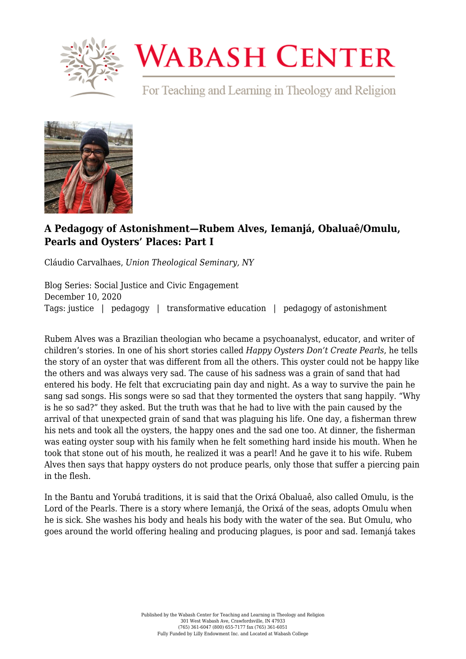

# **WABASH CENTER**

For Teaching and Learning in Theology and Religion



# **[A Pedagogy of Astonishment—Rubem Alves, Iemanjá, Obaluaê/Omulu,](https://www.wabashcenter.wabash.edu/2020/12/a-pedagogy-of-astonishment-rubem-alves-iemanja-obaluae-omulu-pearls-and-oysters-places-part-i/) [Pearls and Oysters' Places: Part I](https://www.wabashcenter.wabash.edu/2020/12/a-pedagogy-of-astonishment-rubem-alves-iemanja-obaluae-omulu-pearls-and-oysters-places-part-i/)**

Cláudio Carvalhaes, *Union Theological Seminary, NY*

Blog Series: Social Justice and Civic Engagement December 10, 2020 Tags: justice | pedagogy | transformative education | pedagogy of astonishment

Rubem Alves was a Brazilian theologian who became a psychoanalyst, educator, and writer of children's stories. In one of his short stories called *Happy Oysters Don't Create Pearls*, he tells the story of an oyster that was different from all the others. This oyster could not be happy like the others and was always very sad. The cause of his sadness was a grain of sand that had entered his body. He felt that excruciating pain day and night. As a way to survive the pain he sang sad songs. His songs were so sad that they tormented the oysters that sang happily. "Why is he so sad?" they asked. But the truth was that he had to live with the pain caused by the arrival of that unexpected grain of sand that was plaguing his life. One day, a fisherman threw his nets and took all the oysters, the happy ones and the sad one too. At dinner, the fisherman was eating oyster soup with his family when he felt something hard inside his mouth. When he took that stone out of his mouth, he realized it was a pearl! And he gave it to his wife. Rubem Alves then says that happy oysters do not produce pearls, only those that suffer a piercing pain in the flesh.

In the Bantu and Yorubá traditions, it is said that the Orixá Obaluaê, also called Omulu, is the Lord of the Pearls. There is a story where Iemanjá, the Orixá of the seas, adopts Omulu when he is sick. She washes his body and heals his body with the water of the sea. But Omulu, who goes around the world offering healing and producing plagues, is poor and sad. Iemanjá takes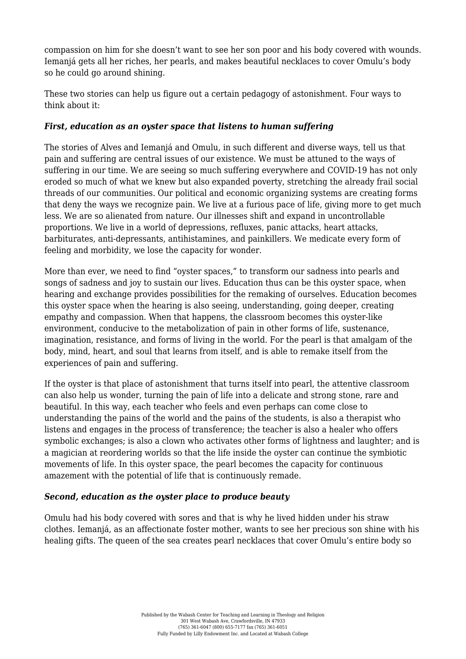compassion on him for she doesn't want to see her son poor and his body covered with wounds. Iemanjá gets all her riches, her pearls, and makes beautiful necklaces to cover Omulu's body so he could go around shining.

These two stories can help us figure out a certain pedagogy of astonishment. Four ways to think about it:

## *First, education as an oyster space that listens to human suffering*

The stories of Alves and Iemanjá and Omulu, in such different and diverse ways, tell us that pain and suffering are central issues of our existence. We must be attuned to the ways of suffering in our time. We are seeing so much suffering everywhere and COVID-19 has not only eroded so much of what we knew but also expanded poverty, stretching the already frail social threads of our communities. Our political and economic organizing systems are creating forms that deny the ways we recognize pain. We live at a furious pace of life, giving more to get much less. We are so alienated from nature. Our illnesses shift and expand in uncontrollable proportions. We live in a world of depressions, refluxes, panic attacks, heart attacks, barbiturates, anti-depressants, antihistamines, and painkillers. We medicate every form of feeling and morbidity, we lose the capacity for wonder.

More than ever, we need to find "oyster spaces," to transform our sadness into pearls and songs of sadness and joy to sustain our lives. Education thus can be this oyster space, when hearing and exchange provides possibilities for the remaking of ourselves. Education becomes this oyster space when the hearing is also seeing, understanding, going deeper, creating empathy and compassion. When that happens, the classroom becomes this oyster-like environment, conducive to the metabolization of pain in other forms of life, sustenance, imagination, resistance, and forms of living in the world. For the pearl is that amalgam of the body, mind, heart, and soul that learns from itself, and is able to remake itself from the experiences of pain and suffering.

If the oyster is that place of astonishment that turns itself into pearl, the attentive classroom can also help us wonder, turning the pain of life into a delicate and strong stone, rare and beautiful. In this way, each teacher who feels and even perhaps can come close to understanding the pains of the world and the pains of the students, is also a therapist who listens and engages in the process of transference; the teacher is also a healer who offers symbolic exchanges; is also a clown who activates other forms of lightness and laughter; and is a magician at reordering worlds so that the life inside the oyster can continue the symbiotic movements of life. In this oyster space, the pearl becomes the capacity for continuous amazement with the potential of life that is continuously remade.

#### *Second, education as the oyster place to produce beauty*

Omulu had his body covered with sores and that is why he lived hidden under his straw clothes. Iemanjá, as an affectionate foster mother, wants to see her precious son shine with his healing gifts. The queen of the sea creates pearl necklaces that cover Omulu's entire body so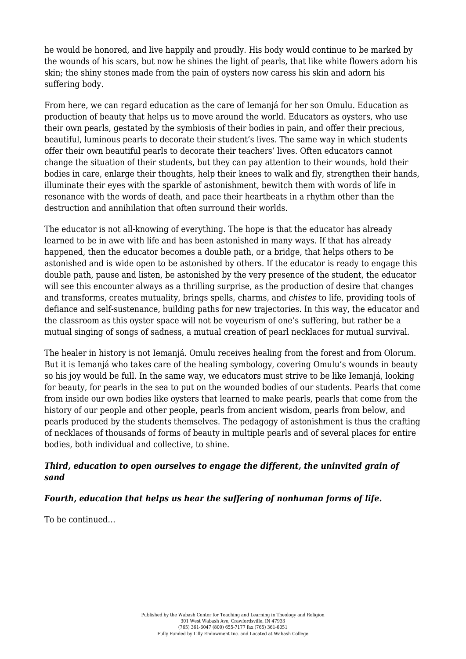he would be honored, and live happily and proudly. His body would continue to be marked by the wounds of his scars, but now he shines the light of pearls, that like white flowers adorn his skin; the shiny stones made from the pain of oysters now caress his skin and adorn his suffering body.

From here, we can regard education as the care of Iemanjá for her son Omulu. Education as production of beauty that helps us to move around the world. Educators as oysters, who use their own pearls, gestated by the symbiosis of their bodies in pain, and offer their precious, beautiful, luminous pearls to decorate their student's lives. The same way in which students offer their own beautiful pearls to decorate their teachers' lives. Often educators cannot change the situation of their students, but they can pay attention to their wounds, hold their bodies in care, enlarge their thoughts, help their knees to walk and fly, strengthen their hands, illuminate their eyes with the sparkle of astonishment, bewitch them with words of life in resonance with the words of death, and pace their heartbeats in a rhythm other than the destruction and annihilation that often surround their worlds.

The educator is not all-knowing of everything. The hope is that the educator has already learned to be in awe with life and has been astonished in many ways. If that has already happened, then the educator becomes a double path, or a bridge, that helps others to be astonished and is wide open to be astonished by others. If the educator is ready to engage this double path, pause and listen, be astonished by the very presence of the student, the educator will see this encounter always as a thrilling surprise, as the production of desire that changes and transforms, creates mutuality, brings spells, charms, and *chistes* to life, providing tools of defiance and self-sustenance, building paths for new trajectories. In this way, the educator and the classroom as this oyster space will not be voyeurism of one's suffering, but rather be a mutual singing of songs of sadness, a mutual creation of pearl necklaces for mutual survival.

The healer in history is not Iemanjá. Omulu receives healing from the forest and from Olorum. But it is Iemanjá who takes care of the healing symbology, covering Omulu's wounds in beauty so his joy would be full. In the same way, we educators must strive to be like Iemanjá, looking for beauty, for pearls in the sea to put on the wounded bodies of our students. Pearls that come from inside our own bodies like oysters that learned to make pearls, pearls that come from the history of our people and other people, pearls from ancient wisdom, pearls from below, and pearls produced by the students themselves. The pedagogy of astonishment is thus the crafting of necklaces of thousands of forms of beauty in multiple pearls and of several places for entire bodies, both individual and collective, to shine.

### *Third, education to open ourselves to engage the different, the uninvited grain of sand*

# *Fourth, education that helps us hear the suffering of nonhuman forms of life.*

To be continued…